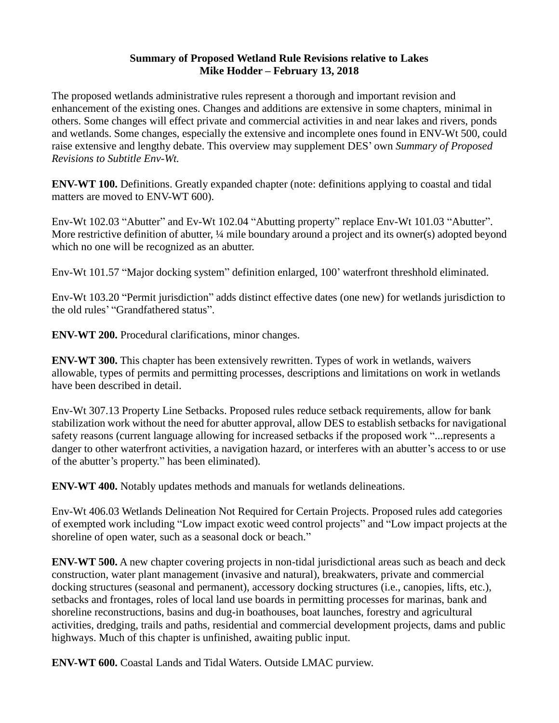## **Summary of Proposed Wetland Rule Revisions relative to Lakes Mike Hodder – February 13, 2018**

The proposed wetlands administrative rules represent a thorough and important revision and enhancement of the existing ones. Changes and additions are extensive in some chapters, minimal in others. Some changes will effect private and commercial activities in and near lakes and rivers, ponds and wetlands. Some changes, especially the extensive and incomplete ones found in ENV-Wt 500, could raise extensive and lengthy debate. This overview may supplement DES' own *Summary of Proposed Revisions to Subtitle Env-Wt.*

**ENV-WT 100.** Definitions. Greatly expanded chapter (note: definitions applying to coastal and tidal matters are moved to ENV-WT 600).

Env-Wt 102.03 "Abutter" and Ev-Wt 102.04 "Abutting property" replace Env-Wt 101.03 "Abutter". More restrictive definition of abutter,  $\frac{1}{4}$  mile boundary around a project and its owner(s) adopted beyond which no one will be recognized as an abutter.

Env-Wt 101.57 "Major docking system" definition enlarged, 100' waterfront threshhold eliminated.

Env-Wt 103.20 "Permit jurisdiction" adds distinct effective dates (one new) for wetlands jurisdiction to the old rules' "Grandfathered status".

**ENV-WT 200.** Procedural clarifications, minor changes.

**ENV-WT 300.** This chapter has been extensively rewritten. Types of work in wetlands, waivers allowable, types of permits and permitting processes, descriptions and limitations on work in wetlands have been described in detail.

Env-Wt 307.13 Property Line Setbacks. Proposed rules reduce setback requirements, allow for bank stabilization work without the need for abutter approval, allow DES to establish setbacks for navigational safety reasons (current language allowing for increased setbacks if the proposed work "...represents a danger to other waterfront activities, a navigation hazard, or interferes with an abutter's access to or use of the abutter's property." has been eliminated).

**ENV-WT 400.** Notably updates methods and manuals for wetlands delineations.

Env-Wt 406.03 Wetlands Delineation Not Required for Certain Projects. Proposed rules add categories of exempted work including "Low impact exotic weed control projects" and "Low impact projects at the shoreline of open water, such as a seasonal dock or beach."

**ENV-WT 500.** A new chapter covering projects in non-tidal jurisdictional areas such as beach and deck construction, water plant management (invasive and natural), breakwaters, private and commercial docking structures (seasonal and permanent), accessory docking structures (i.e., canopies, lifts, etc.), setbacks and frontages, roles of local land use boards in permitting processes for marinas, bank and shoreline reconstructions, basins and dug-in boathouses, boat launches, forestry and agricultural activities, dredging, trails and paths, residential and commercial development projects, dams and public highways. Much of this chapter is unfinished, awaiting public input.

**ENV-WT 600.** Coastal Lands and Tidal Waters. Outside LMAC purview.